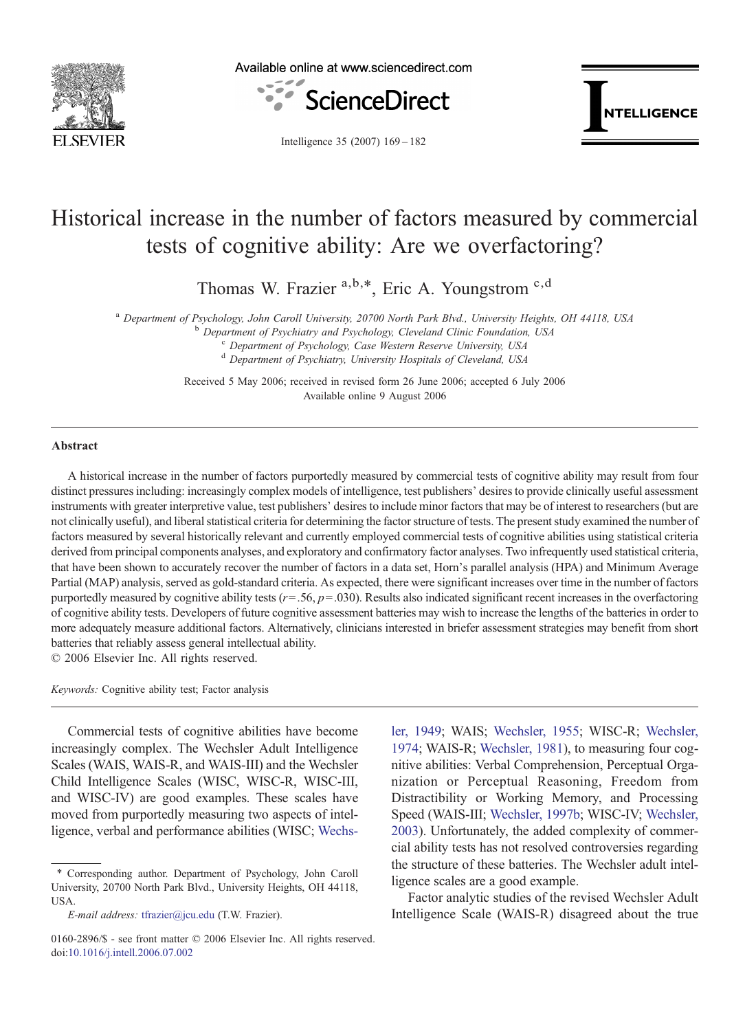

Available online at www.sciencedirect.com



**NTELLIGENCE** 

Intelligence 35 (2007) 169–182

# Historical increase in the number of factors measured by commercial tests of cognitive ability: Are we overfactoring?

Thomas W. Frazier  $a,b,*$ , Eric A. Youngstrom  $c,d$ 

<sup>a</sup> Department of Psychology, John Caroll University, 20700 North Park Blvd., University Heights, OH 44118, USA b Department of Psychiatry and Psychology, Cleveland Clinic Foundation, USA

<sup>c</sup> Department of Psychology, Case Western Reserve University, USA

<sup>d</sup> Department of Psychiatry, University Hospitals of Cleveland, USA

Received 5 May 2006; received in revised form 26 June 2006; accepted 6 July 2006 Available online 9 August 2006

## Abstract

A historical increase in the number of factors purportedly measured by commercial tests of cognitive ability may result from four distinct pressures including: increasingly complex models of intelligence, test publishers' desires to provide clinically useful assessment instruments with greater interpretive value, test publishers' desires to include minor factors that may be of interest to researchers (but are not clinically useful), and liberal statistical criteria for determining the factor structure of tests. The present study examined the number of factors measured by several historically relevant and currently employed commercial tests of cognitive abilities using statistical criteria derived from principal components analyses, and exploratory and confirmatory factor analyses. Two infrequently used statistical criteria, that have been shown to accurately recover the number of factors in a data set, Horn's parallel analysis (HPA) and Minimum Average Partial (MAP) analysis, served as gold-standard criteria. As expected, there were significant increases over time in the number of factors purportedly measured by cognitive ability tests  $(r=.56, p=.030)$ . Results also indicated significant recent increases in the overfactoring of cognitive ability tests. Developers of future cognitive assessment batteries may wish to increase the lengths of the batteries in order to more adequately measure additional factors. Alternatively, clinicians interested in briefer assessment strategies may benefit from short batteries that reliably assess general intellectual ability.

© 2006 Elsevier Inc. All rights reserved.

Keywords: Cognitive ability test; Factor analysis

Commercial tests of cognitive abilities have become increasingly complex. The Wechsler Adult Intelligence Scales (WAIS, WAIS-R, and WAIS-III) and the Wechsler Child Intelligence Scales (WISC, WISC-R, WISC-III, and WISC-IV) are good examples. These scales have moved from purportedly measuring two aspects of intelligence, verbal and performance abilities (WISC; [Wechs-](#page-13-0)

[ler, 1949;](#page-13-0) WAIS; [Wechsler, 1955](#page-13-0); WISC-R; [Wechsler,](#page-13-0) [1974;](#page-13-0) WAIS-R; [Wechsler, 1981\)](#page-13-0), to measuring four cognitive abilities: Verbal Comprehension, Perceptual Organization or Perceptual Reasoning, Freedom from Distractibility or Working Memory, and Processing Speed (WAIS-III; [Wechsler, 1997b;](#page-13-0) WISC-IV; [Wechsler,](#page-13-0) [2003\)](#page-13-0). Unfortunately, the added complexity of commercial ability tests has not resolved controversies regarding the structure of these batteries. The Wechsler adult intelligence scales are a good example.

Factor analytic studies of the revised Wechsler Adult Intelligence Scale (WAIS-R) disagreed about the true

<sup>⁎</sup> Corresponding author. Department of Psychology, John Caroll University, 20700 North Park Blvd., University Heights, OH 44118, USA.

E-mail address: [tfrazier@jcu.edu](mailto:tfrazier@jcu.edu) (T.W. Frazier).

<sup>0160-2896/\$ -</sup> see front matter © 2006 Elsevier Inc. All rights reserved. doi[:10.1016/j.intell.2006.07.002](http://dx.doi.org/10.1016/j.intell.2006.07.002)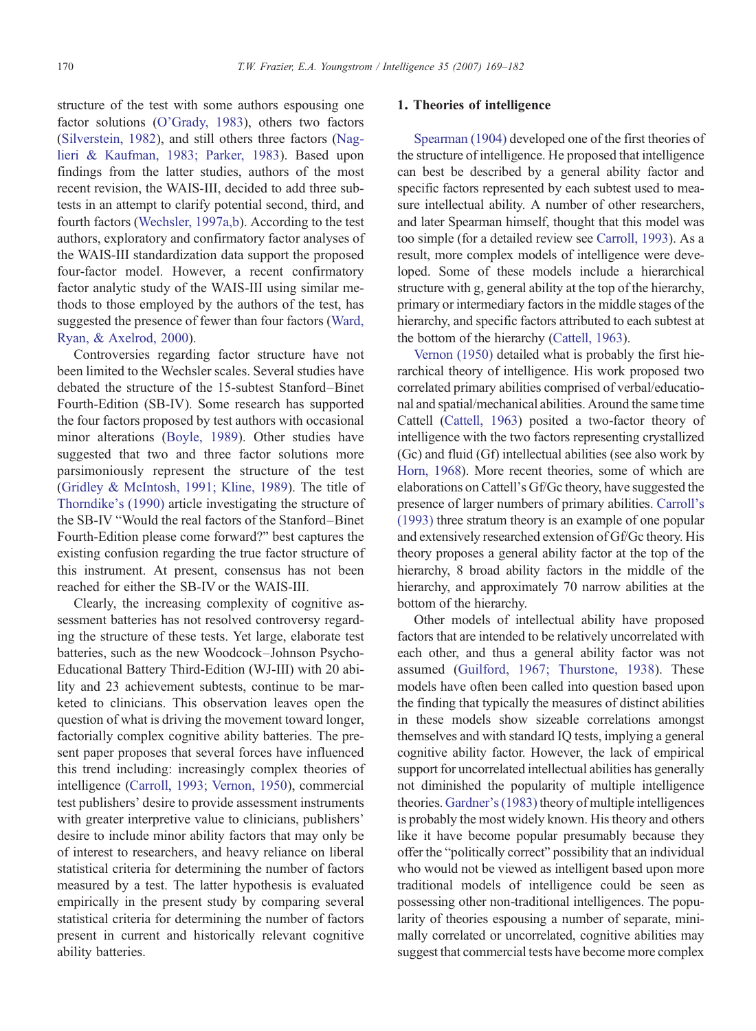structure of the test with some authors espousing one factor solutions [\(O'Grady, 1983](#page-12-0)), others two factors [\(Silverstein, 1982\)](#page-13-0), and still others three factors ([Nag](#page-12-0)[lieri & Kaufman, 1983; Parker, 1983\)](#page-12-0). Based upon findings from the latter studies, authors of the most recent revision, the WAIS-III, decided to add three subtests in an attempt to clarify potential second, third, and fourth factors ([Wechsler, 1997a,b](#page-13-0)). According to the test authors, exploratory and confirmatory factor analyses of the WAIS-III standardization data support the proposed four-factor model. However, a recent confirmatory factor analytic study of the WAIS-III using similar methods to those employed by the authors of the test, has suggested the presence of fewer than four factors ([Ward,](#page-13-0) [Ryan, & Axelrod, 2000\)](#page-13-0).

Controversies regarding factor structure have not been limited to the Wechsler scales. Several studies have debated the structure of the 15-subtest Stanford–Binet Fourth-Edition (SB-IV). Some research has supported the four factors proposed by test authors with occasional minor alterations ([Boyle, 1989\)](#page-12-0). Other studies have suggested that two and three factor solutions more parsimoniously represent the structure of the test [\(Gridley & McIntosh, 1991; Kline, 1989](#page-12-0)). The title of [Thorndike's \(1990\)](#page-13-0) article investigating the structure of the SB-IV "Would the real factors of the Stanford–Binet Fourth-Edition please come forward?" best captures the existing confusion regarding the true factor structure of this instrument. At present, consensus has not been reached for either the SB-IV or the WAIS-III.

Clearly, the increasing complexity of cognitive assessment batteries has not resolved controversy regarding the structure of these tests. Yet large, elaborate test batteries, such as the new Woodcock–Johnson Psycho-Educational Battery Third-Edition (WJ-III) with 20 ability and 23 achievement subtests, continue to be marketed to clinicians. This observation leaves open the question of what is driving the movement toward longer, factorially complex cognitive ability batteries. The present paper proposes that several forces have influenced this trend including: increasingly complex theories of intelligence [\(Carroll, 1993; Vernon, 1950\)](#page-12-0), commercial test publishers' desire to provide assessment instruments with greater interpretive value to clinicians, publishers' desire to include minor ability factors that may only be of interest to researchers, and heavy reliance on liberal statistical criteria for determining the number of factors measured by a test. The latter hypothesis is evaluated empirically in the present study by comparing several statistical criteria for determining the number of factors present in current and historically relevant cognitive ability batteries.

#### 1. Theories of intelligence

[Spearman \(1904\)](#page-13-0) developed one of the first theories of the structure of intelligence. He proposed that intelligence can best be described by a general ability factor and specific factors represented by each subtest used to measure intellectual ability. A number of other researchers, and later Spearman himself, thought that this model was too simple (for a detailed review see [Carroll, 1993\)](#page-12-0). As a result, more complex models of intelligence were developed. Some of these models include a hierarchical structure with g, general ability at the top of the hierarchy, primary or intermediary factors in the middle stages of the hierarchy, and specific factors attributed to each subtest at the bottom of the hierarchy [\(Cattell, 1963\)](#page-12-0).

[Vernon \(1950\)](#page-13-0) detailed what is probably the first hierarchical theory of intelligence. His work proposed two correlated primary abilities comprised of verbal/educational and spatial/mechanical abilities. Around the same time Cattell [\(Cattell, 1963\)](#page-12-0) posited a two-factor theory of intelligence with the two factors representing crystallized (Gc) and fluid (Gf) intellectual abilities (see also work by [Horn, 1968](#page-12-0)). More recent theories, some of which are elaborations on Cattell's Gf/Gc theory, have suggested the presence of larger numbers of primary abilities. [Carroll's](#page-12-0) [\(1993\)](#page-12-0) three stratum theory is an example of one popular and extensively researched extension of Gf/Gc theory. His theory proposes a general ability factor at the top of the hierarchy, 8 broad ability factors in the middle of the hierarchy, and approximately 70 narrow abilities at the bottom of the hierarchy.

Other models of intellectual ability have proposed factors that are intended to be relatively uncorrelated with each other, and thus a general ability factor was not assumed [\(Guilford, 1967; Thurstone, 1938\)](#page-12-0). These models have often been called into question based upon the finding that typically the measures of distinct abilities in these models show sizeable correlations amongst themselves and with standard IQ tests, implying a general cognitive ability factor. However, the lack of empirical support for uncorrelated intellectual abilities has generally not diminished the popularity of multiple intelligence theories. [Gardner's \(1983\)](#page-12-0) theory of multiple intelligences is probably the most widely known. His theory and others like it have become popular presumably because they offer the "politically correct" possibility that an individual who would not be viewed as intelligent based upon more traditional models of intelligence could be seen as possessing other non-traditional intelligences. The popularity of theories espousing a number of separate, minimally correlated or uncorrelated, cognitive abilities may suggest that commercial tests have become more complex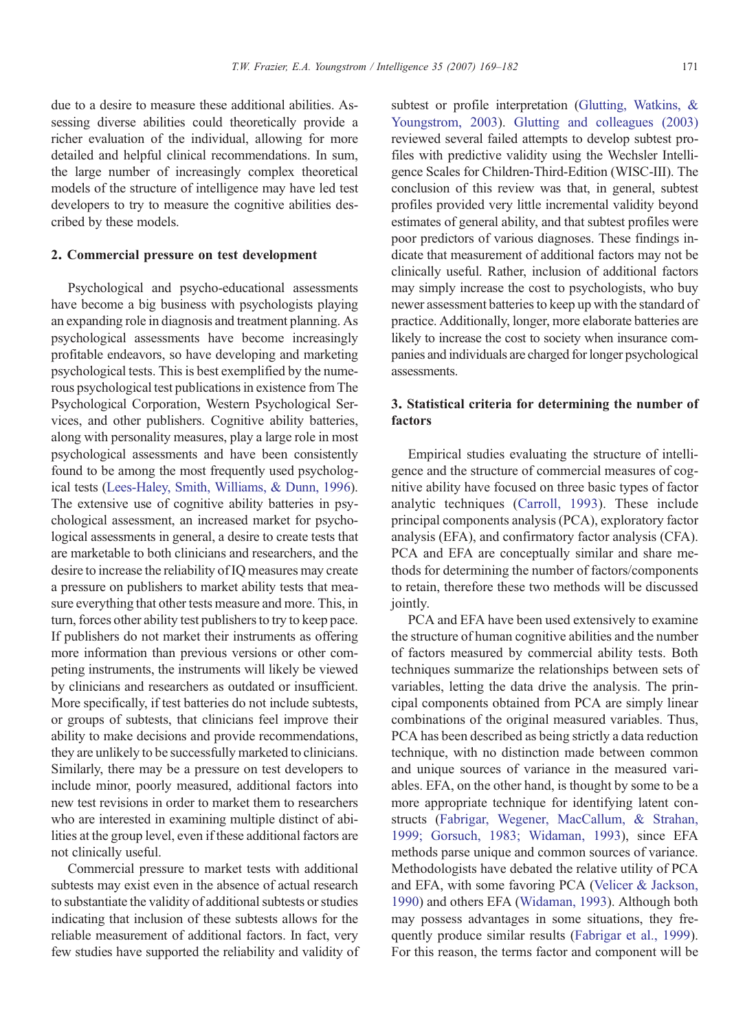due to a desire to measure these additional abilities. Assessing diverse abilities could theoretically provide a richer evaluation of the individual, allowing for more detailed and helpful clinical recommendations. In sum, the large number of increasingly complex theoretical models of the structure of intelligence may have led test developers to try to measure the cognitive abilities described by these models.

# 2. Commercial pressure on test development

Psychological and psycho-educational assessments have become a big business with psychologists playing an expanding role in diagnosis and treatment planning. As psychological assessments have become increasingly profitable endeavors, so have developing and marketing psychological tests. This is best exemplified by the numerous psychological test publications in existence from The Psychological Corporation, Western Psychological Services, and other publishers. Cognitive ability batteries, along with personality measures, play a large role in most psychological assessments and have been consistently found to be among the most frequently used psychological tests ([Lees-Haley, Smith, Williams, & Dunn, 1996](#page-12-0)). The extensive use of cognitive ability batteries in psychological assessment, an increased market for psychological assessments in general, a desire to create tests that are marketable to both clinicians and researchers, and the desire to increase the reliability of IQ measures may create a pressure on publishers to market ability tests that measure everything that other tests measure and more. This, in turn, forces other ability test publishers to try to keep pace. If publishers do not market their instruments as offering more information than previous versions or other competing instruments, the instruments will likely be viewed by clinicians and researchers as outdated or insufficient. More specifically, if test batteries do not include subtests, or groups of subtests, that clinicians feel improve their ability to make decisions and provide recommendations, they are unlikely to be successfully marketed to clinicians. Similarly, there may be a pressure on test developers to include minor, poorly measured, additional factors into new test revisions in order to market them to researchers who are interested in examining multiple distinct of abilities at the group level, even if these additional factors are not clinically useful.

Commercial pressure to market tests with additional subtests may exist even in the absence of actual research to substantiate the validity of additional subtests or studies indicating that inclusion of these subtests allows for the reliable measurement of additional factors. In fact, very few studies have supported the reliability and validity of

subtest or profile interpretation [\(Glutting, Watkins, &](#page-12-0) [Youngstrom, 2003\)](#page-12-0). [Glutting and colleagues \(2003\)](#page-12-0) reviewed several failed attempts to develop subtest profiles with predictive validity using the Wechsler Intelligence Scales for Children-Third-Edition (WISC-III). The conclusion of this review was that, in general, subtest profiles provided very little incremental validity beyond estimates of general ability, and that subtest profiles were poor predictors of various diagnoses. These findings indicate that measurement of additional factors may not be clinically useful. Rather, inclusion of additional factors may simply increase the cost to psychologists, who buy newer assessment batteries to keep up with the standard of practice. Additionally, longer, more elaborate batteries are likely to increase the cost to society when insurance companies and individuals are charged for longer psychological assessments.

# 3. Statistical criteria for determining the number of factors

Empirical studies evaluating the structure of intelligence and the structure of commercial measures of cognitive ability have focused on three basic types of factor analytic techniques ([Carroll, 1993\)](#page-12-0). These include principal components analysis (PCA), exploratory factor analysis (EFA), and confirmatory factor analysis (CFA). PCA and EFA are conceptually similar and share methods for determining the number of factors/components to retain, therefore these two methods will be discussed jointly.

PCA and EFA have been used extensively to examine the structure of human cognitive abilities and the number of factors measured by commercial ability tests. Both techniques summarize the relationships between sets of variables, letting the data drive the analysis. The principal components obtained from PCA are simply linear combinations of the original measured variables. Thus, PCA has been described as being strictly a data reduction technique, with no distinction made between common and unique sources of variance in the measured variables. EFA, on the other hand, is thought by some to be a more appropriate technique for identifying latent constructs ([Fabrigar, Wegener, MacCallum, & Strahan,](#page-12-0) [1999; Gorsuch, 1983; Widaman, 1993](#page-12-0)), since EFA methods parse unique and common sources of variance. Methodologists have debated the relative utility of PCA and EFA, with some favoring PCA [\(Velicer & Jackson,](#page-13-0) [1990\)](#page-13-0) and others EFA [\(Widaman, 1993](#page-13-0)). Although both may possess advantages in some situations, they frequently produce similar results [\(Fabrigar et al., 1999](#page-12-0)). For this reason, the terms factor and component will be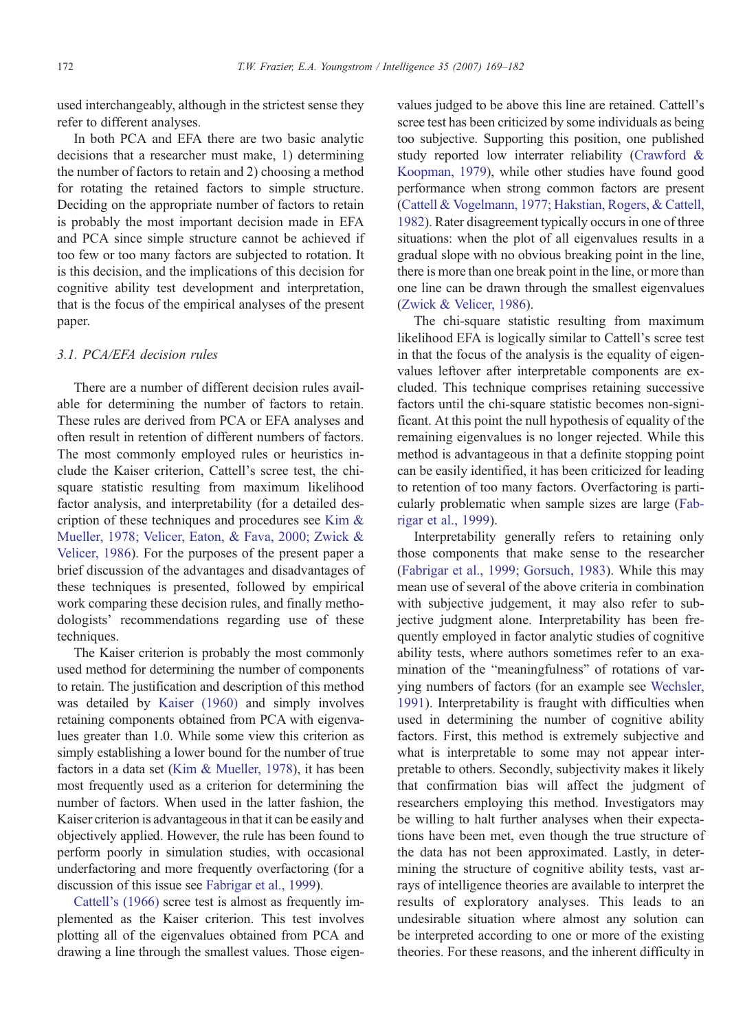used interchangeably, although in the strictest sense they refer to different analyses.

In both PCA and EFA there are two basic analytic decisions that a researcher must make, 1) determining the number of factors to retain and 2) choosing a method for rotating the retained factors to simple structure. Deciding on the appropriate number of factors to retain is probably the most important decision made in EFA and PCA since simple structure cannot be achieved if too few or too many factors are subjected to rotation. It is this decision, and the implications of this decision for cognitive ability test development and interpretation, that is the focus of the empirical analyses of the present paper.

# 3.1. PCA/EFA decision rules

There are a number of different decision rules available for determining the number of factors to retain. These rules are derived from PCA or EFA analyses and often result in retention of different numbers of factors. The most commonly employed rules or heuristics include the Kaiser criterion, Cattell's scree test, the chisquare statistic resulting from maximum likelihood factor analysis, and interpretability (for a detailed description of these techniques and procedures see [Kim &](#page-12-0) [Mueller, 1978; Velicer, Eaton, & Fava, 2000; Zwick &](#page-12-0) [Velicer, 1986](#page-12-0)). For the purposes of the present paper a brief discussion of the advantages and disadvantages of these techniques is presented, followed by empirical work comparing these decision rules, and finally methodologists' recommendations regarding use of these techniques.

The Kaiser criterion is probably the most commonly used method for determining the number of components to retain. The justification and description of this method was detailed by [Kaiser \(1960\)](#page-12-0) and simply involves retaining components obtained from PCA with eigenvalues greater than 1.0. While some view this criterion as simply establishing a lower bound for the number of true factors in a data set [\(Kim & Mueller, 1978\)](#page-12-0), it has been most frequently used as a criterion for determining the number of factors. When used in the latter fashion, the Kaiser criterion is advantageous in that it can be easily and objectively applied. However, the rule has been found to perform poorly in simulation studies, with occasional underfactoring and more frequently overfactoring (for a discussion of this issue see [Fabrigar et al., 1999](#page-12-0)).

[Cattell's \(1966\)](#page-12-0) scree test is almost as frequently implemented as the Kaiser criterion. This test involves plotting all of the eigenvalues obtained from PCA and drawing a line through the smallest values. Those eigenvalues judged to be above this line are retained. Cattell's scree test has been criticized by some individuals as being too subjective. Supporting this position, one published study reported low interrater reliability [\(Crawford &](#page-12-0) [Koopman, 1979\)](#page-12-0), while other studies have found good performance when strong common factors are present [\(Cattell & Vogelmann, 1977; Hakstian, Rogers, & Cattell,](#page-12-0) [1982\)](#page-12-0). Rater disagreement typically occurs in one of three situations: when the plot of all eigenvalues results in a gradual slope with no obvious breaking point in the line, there is more than one break point in the line, or more than one line can be drawn through the smallest eigenvalues [\(Zwick & Velicer, 1986\)](#page-13-0).

The chi-square statistic resulting from maximum likelihood EFA is logically similar to Cattell's scree test in that the focus of the analysis is the equality of eigenvalues leftover after interpretable components are excluded. This technique comprises retaining successive factors until the chi-square statistic becomes non-significant. At this point the null hypothesis of equality of the remaining eigenvalues is no longer rejected. While this method is advantageous in that a definite stopping point can be easily identified, it has been criticized for leading to retention of too many factors. Overfactoring is particularly problematic when sample sizes are large [\(Fab](#page-12-0)[rigar et al., 1999\)](#page-12-0).

Interpretability generally refers to retaining only those components that make sense to the researcher [\(Fabrigar et al., 1999; Gorsuch, 1983\)](#page-12-0). While this may mean use of several of the above criteria in combination with subjective judgement, it may also refer to subjective judgment alone. Interpretability has been frequently employed in factor analytic studies of cognitive ability tests, where authors sometimes refer to an examination of the "meaningfulness" of rotations of varying numbers of factors (for an example see [Wechsler,](#page-13-0) [1991](#page-13-0)). Interpretability is fraught with difficulties when used in determining the number of cognitive ability factors. First, this method is extremely subjective and what is interpretable to some may not appear interpretable to others. Secondly, subjectivity makes it likely that confirmation bias will affect the judgment of researchers employing this method. Investigators may be willing to halt further analyses when their expectations have been met, even though the true structure of the data has not been approximated. Lastly, in determining the structure of cognitive ability tests, vast arrays of intelligence theories are available to interpret the results of exploratory analyses. This leads to an undesirable situation where almost any solution can be interpreted according to one or more of the existing theories. For these reasons, and the inherent difficulty in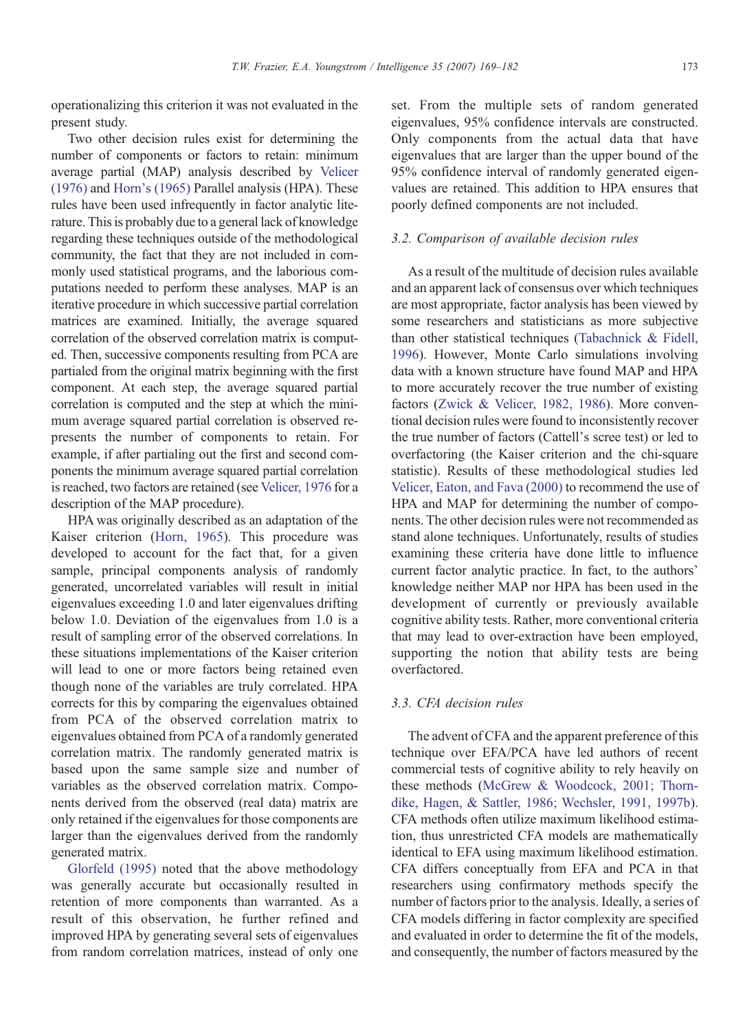operationalizing this criterion it was not evaluated in the present study.

Two other decision rules exist for determining the number of components or factors to retain: minimum average partial (MAP) analysis described by [Velicer](#page-13-0) [\(1976\)](#page-13-0) and [Horn's \(1965\)](#page-12-0) Parallel analysis (HPA). These rules have been used infrequently in factor analytic literature. This is probably due to a general lack of knowledge regarding these techniques outside of the methodological community, the fact that they are not included in commonly used statistical programs, and the laborious computations needed to perform these analyses. MAP is an iterative procedure in which successive partial correlation matrices are examined. Initially, the average squared correlation of the observed correlation matrix is computed. Then, successive components resulting from PCA are partialed from the original matrix beginning with the first component. At each step, the average squared partial correlation is computed and the step at which the minimum average squared partial correlation is observed represents the number of components to retain. For example, if after partialing out the first and second components the minimum average squared partial correlation is reached, two factors are retained (see [Velicer, 1976](#page-13-0) for a description of the MAP procedure).

HPA was originally described as an adaptation of the Kaiser criterion ([Horn, 1965](#page-12-0)). This procedure was developed to account for the fact that, for a given sample, principal components analysis of randomly generated, uncorrelated variables will result in initial eigenvalues exceeding 1.0 and later eigenvalues drifting below 1.0. Deviation of the eigenvalues from 1.0 is a result of sampling error of the observed correlations. In these situations implementations of the Kaiser criterion will lead to one or more factors being retained even though none of the variables are truly correlated. HPA corrects for this by comparing the eigenvalues obtained from PCA of the observed correlation matrix to eigenvalues obtained from PCA of a randomly generated correlation matrix. The randomly generated matrix is based upon the same sample size and number of variables as the observed correlation matrix. Components derived from the observed (real data) matrix are only retained if the eigenvalues for those components are larger than the eigenvalues derived from the randomly generated matrix.

[Glorfeld \(1995\)](#page-12-0) noted that the above methodology was generally accurate but occasionally resulted in retention of more components than warranted. As a result of this observation, he further refined and improved HPA by generating several sets of eigenvalues from random correlation matrices, instead of only one

set. From the multiple sets of random generated eigenvalues, 95% confidence intervals are constructed. Only components from the actual data that have eigenvalues that are larger than the upper bound of the 95% confidence interval of randomly generated eigenvalues are retained. This addition to HPA ensures that poorly defined components are not included.

# 3.2. Comparison of available decision rules

As a result of the multitude of decision rules available and an apparent lack of consensus over which techniques are most appropriate, factor analysis has been viewed by some researchers and statisticians as more subjective than other statistical techniques ([Tabachnick & Fidell,](#page-13-0) [1996\)](#page-13-0). However, Monte Carlo simulations involving data with a known structure have found MAP and HPA to more accurately recover the true number of existing factors ([Zwick & Velicer, 1982, 1986](#page-13-0)). More conventional decision rules were found to inconsistently recover the true number of factors (Cattell's scree test) or led to overfactoring (the Kaiser criterion and the chi-square statistic). Results of these methodological studies led [Velicer, Eaton, and Fava \(2000\)](#page-13-0) to recommend the use of HPA and MAP for determining the number of components. The other decision rules were not recommended as stand alone techniques. Unfortunately, results of studies examining these criteria have done little to influence current factor analytic practice. In fact, to the authors' knowledge neither MAP nor HPA has been used in the development of currently or previously available cognitive ability tests. Rather, more conventional criteria that may lead to over-extraction have been employed, supporting the notion that ability tests are being overfactored.

# 3.3. CFA decision rules

The advent of CFA and the apparent preference of this technique over EFA/PCA have led authors of recent commercial tests of cognitive ability to rely heavily on these methods ([McGrew & Woodcock, 2001; Thorn](#page-12-0)[dike, Hagen, & Sattler, 1986; Wechsler, 1991, 1997b](#page-12-0)). CFA methods often utilize maximum likelihood estimation, thus unrestricted CFA models are mathematically identical to EFA using maximum likelihood estimation. CFA differs conceptually from EFA and PCA in that researchers using confirmatory methods specify the number of factors prior to the analysis. Ideally, a series of CFA models differing in factor complexity are specified and evaluated in order to determine the fit of the models, and consequently, the number of factors measured by the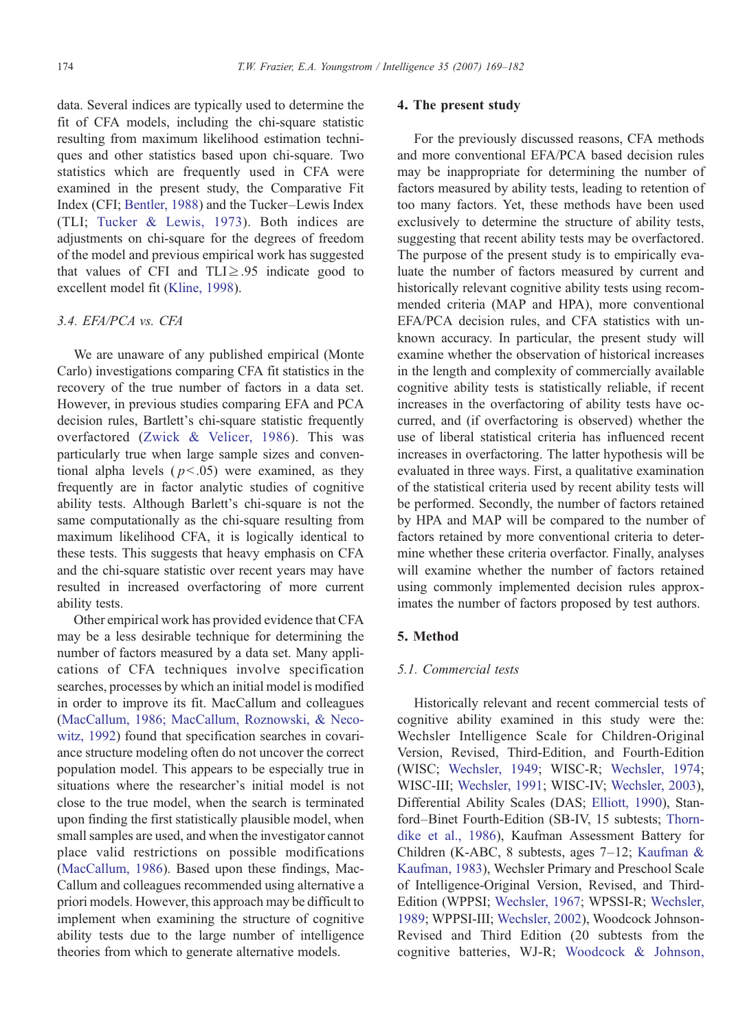data. Several indices are typically used to determine the fit of CFA models, including the chi-square statistic resulting from maximum likelihood estimation techniques and other statistics based upon chi-square. Two statistics which are frequently used in CFA were examined in the present study, the Comparative Fit Index (CFI; [Bentler, 1988](#page-12-0)) and the Tucker–Lewis Index (TLI; [Tucker & Lewis, 1973\)](#page-13-0). Both indices are adjustments on chi-square for the degrees of freedom of the model and previous empirical work has suggested that values of CFI and  $TLI \ge .95$  indicate good to excellent model fit [\(Kline, 1998](#page-12-0)).

# 3.4. EFA/PCA vs. CFA

We are unaware of any published empirical (Monte Carlo) investigations comparing CFA fit statistics in the recovery of the true number of factors in a data set. However, in previous studies comparing EFA and PCA decision rules, Bartlett's chi-square statistic frequently overfactored [\(Zwick & Velicer, 1986](#page-13-0)). This was particularly true when large sample sizes and conventional alpha levels ( $p<.05$ ) were examined, as they frequently are in factor analytic studies of cognitive ability tests. Although Barlett's chi-square is not the same computationally as the chi-square resulting from maximum likelihood CFA, it is logically identical to these tests. This suggests that heavy emphasis on CFA and the chi-square statistic over recent years may have resulted in increased overfactoring of more current ability tests.

Other empirical work has provided evidence that CFA may be a less desirable technique for determining the number of factors measured by a data set. Many applications of CFA techniques involve specification searches, processes by which an initial model is modified in order to improve its fit. MacCallum and colleagues [\(MacCallum, 1986; MacCallum, Roznowski, & Neco](#page-12-0)[witz, 1992\)](#page-12-0) found that specification searches in covariance structure modeling often do not uncover the correct population model. This appears to be especially true in situations where the researcher's initial model is not close to the true model, when the search is terminated upon finding the first statistically plausible model, when small samples are used, and when the investigator cannot place valid restrictions on possible modifications [\(MacCallum, 1986](#page-12-0)). Based upon these findings, Mac-Callum and colleagues recommended using alternative a priori models. However, this approach may be difficult to implement when examining the structure of cognitive ability tests due to the large number of intelligence theories from which to generate alternative models.

#### 4. The present study

For the previously discussed reasons, CFA methods and more conventional EFA/PCA based decision rules may be inappropriate for determining the number of factors measured by ability tests, leading to retention of too many factors. Yet, these methods have been used exclusively to determine the structure of ability tests, suggesting that recent ability tests may be overfactored. The purpose of the present study is to empirically evaluate the number of factors measured by current and historically relevant cognitive ability tests using recommended criteria (MAP and HPA), more conventional EFA/PCA decision rules, and CFA statistics with unknown accuracy. In particular, the present study will examine whether the observation of historical increases in the length and complexity of commercially available cognitive ability tests is statistically reliable, if recent increases in the overfactoring of ability tests have occurred, and (if overfactoring is observed) whether the use of liberal statistical criteria has influenced recent increases in overfactoring. The latter hypothesis will be evaluated in three ways. First, a qualitative examination of the statistical criteria used by recent ability tests will be performed. Secondly, the number of factors retained by HPA and MAP will be compared to the number of factors retained by more conventional criteria to determine whether these criteria overfactor. Finally, analyses will examine whether the number of factors retained using commonly implemented decision rules approximates the number of factors proposed by test authors.

## 5. Method

#### 5.1. Commercial tests

Historically relevant and recent commercial tests of cognitive ability examined in this study were the: Wechsler Intelligence Scale for Children-Original Version, Revised, Third-Edition, and Fourth-Edition (WISC; [Wechsler, 1949;](#page-13-0) WISC-R; [Wechsler, 1974;](#page-13-0) WISC-III; [Wechsler, 1991](#page-13-0); WISC-IV; [Wechsler, 2003\)](#page-13-0), Differential Ability Scales (DAS; [Elliott, 1990](#page-12-0)), Stanford–Binet Fourth-Edition (SB-IV, 15 subtests; [Thorn](#page-13-0)[dike et al., 1986\)](#page-13-0), Kaufman Assessment Battery for Children (K-ABC, 8 subtests, ages 7–12; [Kaufman &](#page-12-0) [Kaufman, 1983\)](#page-12-0), Wechsler Primary and Preschool Scale of Intelligence-Original Version, Revised, and Third-Edition (WPPSI; [Wechsler, 1967](#page-13-0); WPSSI-R; [Wechsler,](#page-13-0) [1989](#page-13-0); WPPSI-III; [Wechsler, 2002](#page-13-0)), Woodcock Johnson-Revised and Third Edition (20 subtests from the cognitive batteries, WJ-R; [Woodcock & Johnson,](#page-13-0)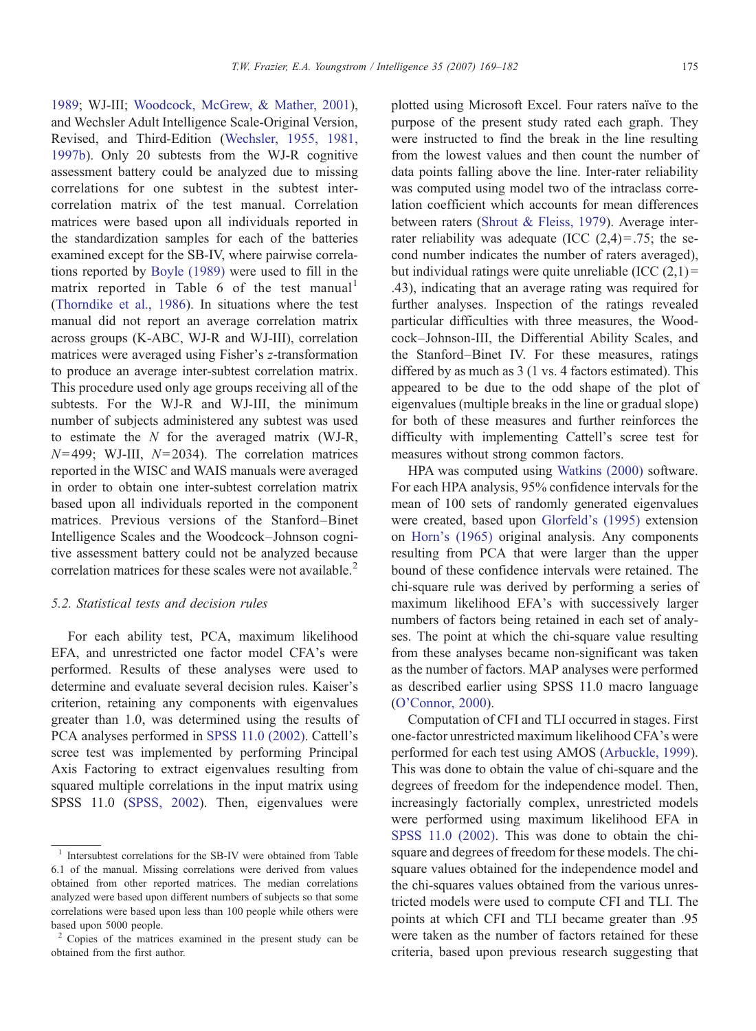[1989;](#page-13-0) WJ-III; [Woodcock, McGrew, & Mather, 2001](#page-13-0)), and Wechsler Adult Intelligence Scale-Original Version, Revised, and Third-Edition ([Wechsler, 1955, 1981,](#page-13-0) [1997b\)](#page-13-0). Only 20 subtests from the WJ-R cognitive assessment battery could be analyzed due to missing correlations for one subtest in the subtest intercorrelation matrix of the test manual. Correlation matrices were based upon all individuals reported in the standardization samples for each of the batteries examined except for the SB-IV, where pairwise correlations reported by [Boyle \(1989\)](#page-12-0) were used to fill in the matrix reported in Table 6 of the test manual<sup>1</sup> [\(Thorndike et al., 1986\)](#page-13-0). In situations where the test manual did not report an average correlation matrix across groups (K-ABC, WJ-R and WJ-III), correlation matrices were averaged using Fisher's z-transformation to produce an average inter-subtest correlation matrix. This procedure used only age groups receiving all of the subtests. For the WJ-R and WJ-III, the minimum number of subjects administered any subtest was used to estimate the N for the averaged matrix (WJ-R,  $N= 499$ ; WJ-III,  $N= 2034$ ). The correlation matrices reported in the WISC and WAIS manuals were averaged in order to obtain one inter-subtest correlation matrix based upon all individuals reported in the component matrices. Previous versions of the Stanford–Binet Intelligence Scales and the Woodcock–Johnson cognitive assessment battery could not be analyzed because correlation matrices for these scales were not available.<sup>2</sup>

## 5.2. Statistical tests and decision rules

For each ability test, PCA, maximum likelihood EFA, and unrestricted one factor model CFA's were performed. Results of these analyses were used to determine and evaluate several decision rules. Kaiser's criterion, retaining any components with eigenvalues greater than 1.0, was determined using the results of PCA analyses performed in [SPSS 11.0 \(2002\).](#page-13-0) Cattell's scree test was implemented by performing Principal Axis Factoring to extract eigenvalues resulting from squared multiple correlations in the input matrix using SPSS 11.0 [\(SPSS, 2002\)](#page-13-0). Then, eigenvalues were

plotted using Microsoft Excel. Four raters naïve to the purpose of the present study rated each graph. They were instructed to find the break in the line resulting from the lowest values and then count the number of data points falling above the line. Inter-rater reliability was computed using model two of the intraclass correlation coefficient which accounts for mean differences between raters ([Shrout & Fleiss, 1979\)](#page-13-0). Average interrater reliability was adequate (ICC  $(2,4) = .75$ ; the second number indicates the number of raters averaged), but individual ratings were quite unreliable  $(ICC (2,1) =$ .43), indicating that an average rating was required for further analyses. Inspection of the ratings revealed particular difficulties with three measures, the Woodcock–Johnson-III, the Differential Ability Scales, and the Stanford–Binet IV. For these measures, ratings differed by as much as 3 (1 vs. 4 factors estimated). This appeared to be due to the odd shape of the plot of eigenvalues (multiple breaks in the line or gradual slope) for both of these measures and further reinforces the difficulty with implementing Cattell's scree test for measures without strong common factors.

HPA was computed using [Watkins \(2000\)](#page-13-0) software. For each HPA analysis, 95% confidence intervals for the mean of 100 sets of randomly generated eigenvalues were created, based upon [Glorfeld's \(1995\)](#page-12-0) extension on [Horn's \(1965\)](#page-12-0) original analysis. Any components resulting from PCA that were larger than the upper bound of these confidence intervals were retained. The chi-square rule was derived by performing a series of maximum likelihood EFA's with successively larger numbers of factors being retained in each set of analyses. The point at which the chi-square value resulting from these analyses became non-significant was taken as the number of factors. MAP analyses were performed as described earlier using SPSS 11.0 macro language [\(O'Connor, 2000\)](#page-12-0).

Computation of CFI and TLI occurred in stages. First one-factor unrestricted maximum likelihood CFA's were performed for each test using AMOS [\(Arbuckle, 1999](#page-12-0)). This was done to obtain the value of chi-square and the degrees of freedom for the independence model. Then, increasingly factorially complex, unrestricted models were performed using maximum likelihood EFA in [SPSS 11.0 \(2002\).](#page-13-0) This was done to obtain the chisquare and degrees of freedom for these models. The chisquare values obtained for the independence model and the chi-squares values obtained from the various unrestricted models were used to compute CFI and TLI. The points at which CFI and TLI became greater than .95 were taken as the number of factors retained for these criteria, based upon previous research suggesting that

<sup>&</sup>lt;sup>1</sup> Intersubtest correlations for the SB-IV were obtained from Table 6.1 of the manual. Missing correlations were derived from values obtained from other reported matrices. The median correlations analyzed were based upon different numbers of subjects so that some correlations were based upon less than 100 people while others were based upon 5000 people.

<sup>2</sup> Copies of the matrices examined in the present study can be obtained from the first author.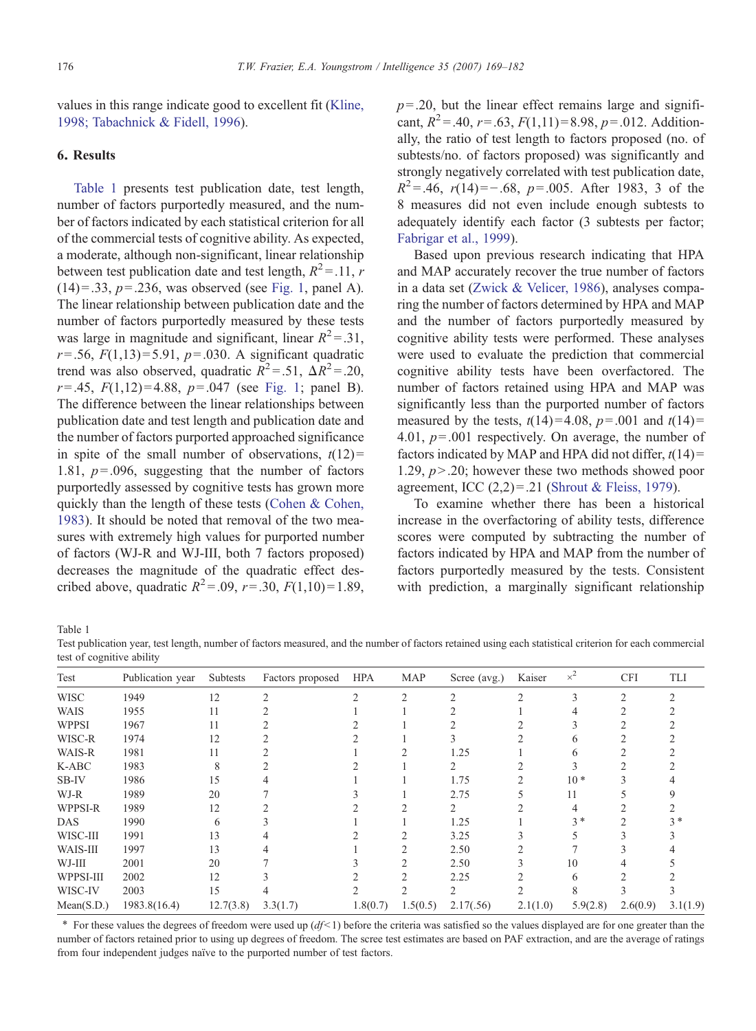<span id="page-7-0"></span>values in this range indicate good to excellent fit ([Kline,](#page-12-0) [1998; Tabachnick & Fidell, 1996](#page-12-0)).

# 6. Results

Table 1 presents test publication date, test length, number of factors purportedly measured, and the number of factors indicated by each statistical criterion for all of the commercial tests of cognitive ability. As expected, a moderate, although non-significant, linear relationship between test publication date and test length,  $R^2 = .11$ , r  $(14) = .33$ ,  $p = .236$ , was observed (see [Fig. 1](#page-8-0), panel A). The linear relationship between publication date and the number of factors purportedly measured by these tests was large in magnitude and significant, linear  $R^2 = .31$ ,  $r = .56$ ,  $F(1,13) = 5.91$ ,  $p = .030$ . A significant quadratic trend was also observed, quadratic  $R^2 = .51$ ,  $\Delta R^2 = .20$ ,  $r=.45, F(1,12)=4.88, p=.047$  (see [Fig. 1](#page-8-0); panel B). The difference between the linear relationships between publication date and test length and publication date and the number of factors purported approached significance in spite of the small number of observations,  $t(12)$  = 1.81,  $p = .096$ , suggesting that the number of factors purportedly assessed by cognitive tests has grown more quickly than the length of these tests [\(Cohen & Cohen,](#page-12-0) [1983](#page-12-0)). It should be noted that removal of the two measures with extremely high values for purported number of factors (WJ-R and WJ-III, both 7 factors proposed) decreases the magnitude of the quadratic effect described above, quadratic  $R^2 = .09$ ,  $r = .30$ ,  $F(1,10) = 1.89$ ,

 $p = 0.20$ , but the linear effect remains large and significant,  $R^2 = .40$ ,  $r = .63$ ,  $F(1,11) = 8.98$ ,  $p = .012$ . Additionally, the ratio of test length to factors proposed (no. of subtests/no. of factors proposed) was significantly and strongly negatively correlated with test publication date,  $R^2 = .46$ ,  $r(14) = -.68$ ,  $p = .005$ . After 1983, 3 of the 8 measures did not even include enough subtests to adequately identify each factor (3 subtests per factor; [Fabrigar et al., 1999\)](#page-12-0).

Based upon previous research indicating that HPA and MAP accurately recover the true number of factors in a data set ([Zwick & Velicer, 1986\)](#page-13-0), analyses comparing the number of factors determined by HPA and MAP and the number of factors purportedly measured by cognitive ability tests were performed. These analyses were used to evaluate the prediction that commercial cognitive ability tests have been overfactored. The number of factors retained using HPA and MAP was significantly less than the purported number of factors measured by the tests,  $t(14)=4.08$ ,  $p=.001$  and  $t(14)=$ 4.01,  $p = .001$  respectively. On average, the number of factors indicated by MAP and HPA did not differ,  $t(14)$  = 1.29,  $p > 0.20$ ; however these two methods showed poor agreement, ICC  $(2,2)=0.21$  ([Shrout & Fleiss, 1979\)](#page-13-0).

To examine whether there has been a historical increase in the overfactoring of ability tests, difference scores were computed by subtracting the number of factors indicated by HPA and MAP from the number of factors purportedly measured by the tests. Consistent with prediction, a marginally significant relationship

Table 1

Test publication year, test length, number of factors measured, and the number of factors retained using each statistical criterion for each commercial test of cognitive ability

| Test        | Publication year | Subtests  | Factors proposed | HPA      | <b>MAP</b> | Scree (avg.) | Kaiser   | $\times^2$ | <b>CFI</b> | TLI      |
|-------------|------------------|-----------|------------------|----------|------------|--------------|----------|------------|------------|----------|
| <b>WISC</b> | 1949             | 12        |                  |          |            |              |          |            |            |          |
| <b>WAIS</b> | 1955             | 11        |                  |          |            |              |          |            |            |          |
| WPPSI       | 1967             | 11        |                  |          |            |              |          |            |            |          |
| WISC-R      | 1974             | 12        |                  |          |            |              |          |            |            |          |
| WAIS-R      | 1981             | 11        |                  |          |            | 1.25         |          |            |            |          |
| K-ABC       | 1983             | 8         |                  |          |            |              |          |            |            |          |
| SB-IV       | 1986             | 15        |                  |          |            | 1.75         |          | $10*$      |            |          |
| WJ-R        | 1989             | 20        |                  |          |            | 2.75         |          | 11         |            |          |
| WPPSI-R     | 1989             | 12        |                  |          |            |              |          |            |            |          |
| <b>DAS</b>  | 1990             | 6         |                  |          |            | 1.25         |          | $3 *$      |            |          |
| WISC-III    | 1991             | 13        |                  |          |            | 3.25         |          |            |            |          |
| WAIS-III    | 1997             | 13        |                  |          |            | 2.50         |          |            |            |          |
| WJ-III      | 2001             | 20        |                  |          |            | 2.50         |          | 10         |            |          |
| WPPSI-III   | 2002             | 12        |                  |          |            | 2.25         |          |            |            |          |
| WISC-IV     | 2003             | 15        |                  |          |            |              |          |            |            |          |
| Mean(S.D.)  | 1983.8(16.4)     | 12.7(3.8) | 3.3(1.7)         | 1.8(0.7) | 1.5(0.5)   | 2.17(.56)    | 2.1(1.0) | 5.9(2.8)   | 2.6(0.9)   | 3.1(1.9) |

\* For these values the degrees of freedom were used up  $(df<1)$  before the criteria was satisfied so the values displayed are for one greater than the number of factors retained prior to using up degrees of freedom. The scree test estimates are based on PAF extraction, and are the average of ratings from four independent judges naïve to the purported number of test factors.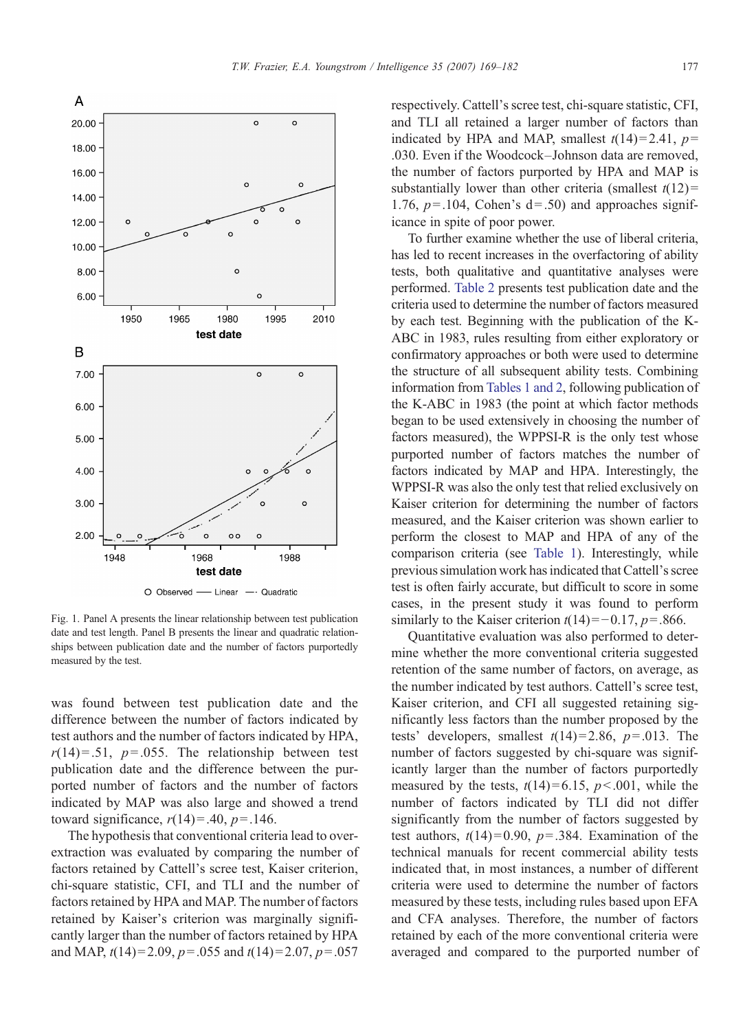<span id="page-8-0"></span>

Fig. 1. Panel A presents the linear relationship between test publication date and test length. Panel B presents the linear and quadratic relationships between publication date and the number of factors purportedly measured by the test.

was found between test publication date and the difference between the number of factors indicated by test authors and the number of factors indicated by HPA,  $r(14)=0.51$ ,  $p=.055$ . The relationship between test publication date and the difference between the purported number of factors and the number of factors indicated by MAP was also large and showed a trend toward significance,  $r(14) = .40$ ,  $p = .146$ .

The hypothesis that conventional criteria lead to overextraction was evaluated by comparing the number of factors retained by Cattell's scree test, Kaiser criterion, chi-square statistic, CFI, and TLI and the number of factors retained by HPA and MAP. The number of factors retained by Kaiser's criterion was marginally significantly larger than the number of factors retained by HPA and MAP,  $t(14)=2.09$ ,  $p=.055$  and  $t(14)=2.07$ ,  $p=.057$ 

respectively. Cattell's scree test, chi-square statistic, CFI, and TLI all retained a larger number of factors than indicated by HPA and MAP, smallest  $t(14)=2.41$ ,  $p=$ .030. Even if the Woodcock–Johnson data are removed, the number of factors purported by HPA and MAP is substantially lower than other criteria (smallest  $t(12)$  = 1.76,  $p = 104$ , Cohen's  $d = .50$ ) and approaches significance in spite of poor power.

To further examine whether the use of liberal criteria, has led to recent increases in the overfactoring of ability tests, both qualitative and quantitative analyses were performed. [Table 2](#page-9-0) presents test publication date and the criteria used to determine the number of factors measured by each test. Beginning with the publication of the K-ABC in 1983, rules resulting from either exploratory or confirmatory approaches or both were used to determine the structure of all subsequent ability tests. Combining information from [Tables 1 and 2](#page-7-0), following publication of the K-ABC in 1983 (the point at which factor methods began to be used extensively in choosing the number of factors measured), the WPPSI-R is the only test whose purported number of factors matches the number of factors indicated by MAP and HPA. Interestingly, the WPPSI-R was also the only test that relied exclusively on Kaiser criterion for determining the number of factors measured, and the Kaiser criterion was shown earlier to perform the closest to MAP and HPA of any of the comparison criteria (see [Table 1\)](#page-7-0). Interestingly, while previous simulation work has indicated that Cattell's scree test is often fairly accurate, but difficult to score in some cases, in the present study it was found to perform similarly to the Kaiser criterion  $t(14)=-0.17$ ,  $p=.866$ .

Quantitative evaluation was also performed to determine whether the more conventional criteria suggested retention of the same number of factors, on average, as the number indicated by test authors. Cattell's scree test, Kaiser criterion, and CFI all suggested retaining significantly less factors than the number proposed by the tests' developers, smallest  $t(14)=2.86$ ,  $p=.013$ . The number of factors suggested by chi-square was significantly larger than the number of factors purportedly measured by the tests,  $t(14)=6.15$ ,  $p<.001$ , while the number of factors indicated by TLI did not differ significantly from the number of factors suggested by test authors,  $t(14)=0.90$ ,  $p=.384$ . Examination of the technical manuals for recent commercial ability tests indicated that, in most instances, a number of different criteria were used to determine the number of factors measured by these tests, including rules based upon EFA and CFA analyses. Therefore, the number of factors retained by each of the more conventional criteria were averaged and compared to the purported number of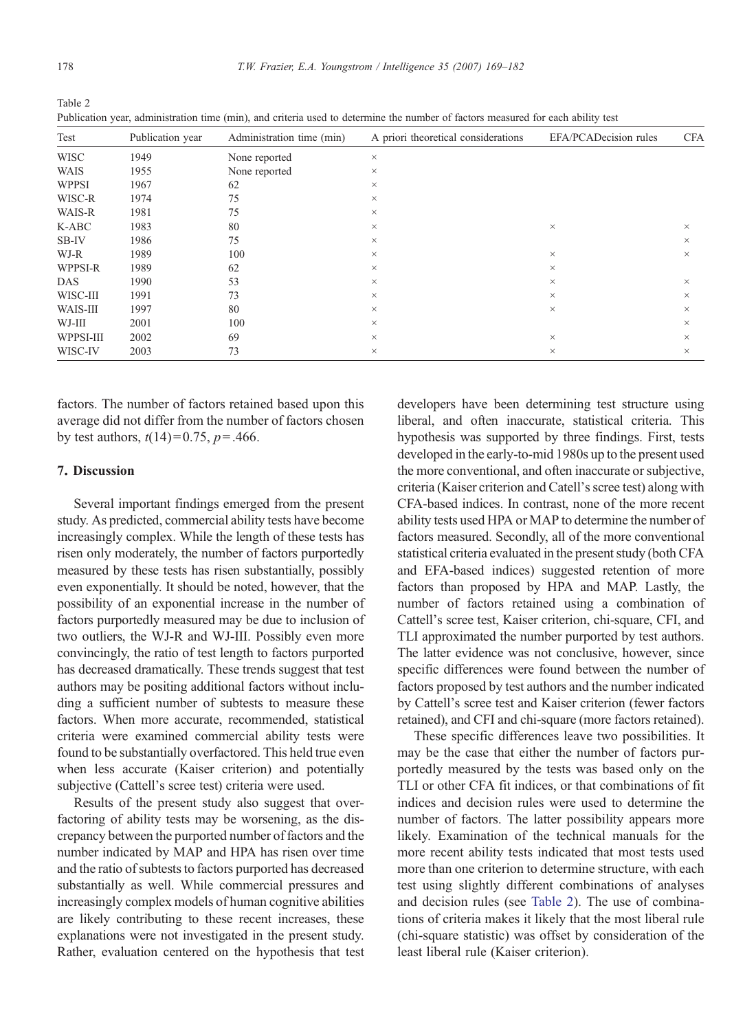<span id="page-9-0"></span>

| Table 2                                                                                                                          |
|----------------------------------------------------------------------------------------------------------------------------------|
| Publication year, administration time (min), and criteria used to determine the number of factors measured for each ability test |

| Publication year<br>Test |      | Administration time (min) | A priori theoretical considerations | EFA/PCADecision rules | <b>CFA</b> |  |  |
|--------------------------|------|---------------------------|-------------------------------------|-----------------------|------------|--|--|
| <b>WISC</b>              | 1949 | None reported             | $\times$                            |                       |            |  |  |
| <b>WAIS</b>              | 1955 | None reported             | $\times$                            |                       |            |  |  |
| WPPSI                    | 1967 | 62                        | $\times$                            |                       |            |  |  |
| WISC-R                   | 1974 | 75                        | $\times$                            |                       |            |  |  |
| WAIS-R                   | 1981 | 75                        | $\times$                            |                       |            |  |  |
| K-ABC                    | 1983 | 80                        | $\times$                            | $\times$              | $\times$   |  |  |
| SB-IV                    | 1986 | 75                        | $\times$                            |                       | $\times$   |  |  |
| WJ-R                     | 1989 | 100                       | $\times$                            | $\times$              | $\times$   |  |  |
| WPPSI-R                  | 1989 | 62                        | $\times$                            | $\times$              |            |  |  |
| <b>DAS</b>               | 1990 | 53                        | $\times$                            | $\times$              | $\times$   |  |  |
| WISC-III                 | 1991 | 73                        | $\times$                            | $\times$              | $\times$   |  |  |
| WAIS-III                 | 1997 | 80                        | $\times$                            | $\times$              | $\times$   |  |  |
| WJ-III                   | 2001 | 100                       | $\times$                            |                       | $\times$   |  |  |
| WPPSI-III                | 2002 | 69                        | $\times$                            | $\times$              | $\times$   |  |  |
| WISC-IV                  | 2003 | 73                        | $\times$                            | $\times$              | $\times$   |  |  |
|                          |      |                           |                                     |                       |            |  |  |

factors. The number of factors retained based upon this average did not differ from the number of factors chosen by test authors,  $t(14)=0.75$ ,  $p=.466$ .

## 7. Discussion

Several important findings emerged from the present study. As predicted, commercial ability tests have become increasingly complex. While the length of these tests has risen only moderately, the number of factors purportedly measured by these tests has risen substantially, possibly even exponentially. It should be noted, however, that the possibility of an exponential increase in the number of factors purportedly measured may be due to inclusion of two outliers, the WJ-R and WJ-III. Possibly even more convincingly, the ratio of test length to factors purported has decreased dramatically. These trends suggest that test authors may be positing additional factors without including a sufficient number of subtests to measure these factors. When more accurate, recommended, statistical criteria were examined commercial ability tests were found to be substantially overfactored. This held true even when less accurate (Kaiser criterion) and potentially subjective (Cattell's scree test) criteria were used.

Results of the present study also suggest that overfactoring of ability tests may be worsening, as the discrepancy between the purported number of factors and the number indicated by MAP and HPA has risen over time and the ratio of subtests to factors purported has decreased substantially as well. While commercial pressures and increasingly complex models of human cognitive abilities are likely contributing to these recent increases, these explanations were not investigated in the present study. Rather, evaluation centered on the hypothesis that test

developers have been determining test structure using liberal, and often inaccurate, statistical criteria. This hypothesis was supported by three findings. First, tests developed in the early-to-mid 1980s up to the present used the more conventional, and often inaccurate or subjective, criteria (Kaiser criterion and Catell's scree test) along with CFA-based indices. In contrast, none of the more recent ability tests used HPA or MAP to determine the number of factors measured. Secondly, all of the more conventional statistical criteria evaluated in the present study (both CFA and EFA-based indices) suggested retention of more factors than proposed by HPA and MAP. Lastly, the number of factors retained using a combination of Cattell's scree test, Kaiser criterion, chi-square, CFI, and TLI approximated the number purported by test authors. The latter evidence was not conclusive, however, since specific differences were found between the number of factors proposed by test authors and the number indicated by Cattell's scree test and Kaiser criterion (fewer factors retained), and CFI and chi-square (more factors retained).

These specific differences leave two possibilities. It may be the case that either the number of factors purportedly measured by the tests was based only on the TLI or other CFA fit indices, or that combinations of fit indices and decision rules were used to determine the number of factors. The latter possibility appears more likely. Examination of the technical manuals for the more recent ability tests indicated that most tests used more than one criterion to determine structure, with each test using slightly different combinations of analyses and decision rules (see Table 2). The use of combinations of criteria makes it likely that the most liberal rule (chi-square statistic) was offset by consideration of the least liberal rule (Kaiser criterion).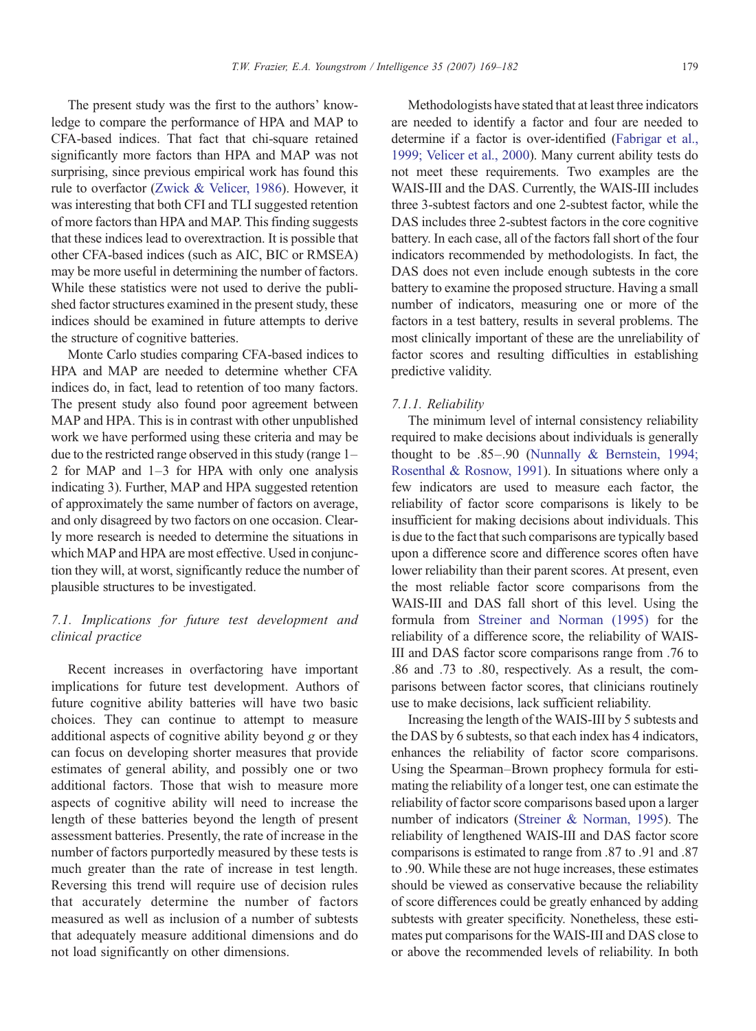The present study was the first to the authors' knowledge to compare the performance of HPA and MAP to CFA-based indices. That fact that chi-square retained significantly more factors than HPA and MAP was not surprising, since previous empirical work has found this rule to overfactor ([Zwick & Velicer, 1986\)](#page-13-0). However, it was interesting that both CFI and TLI suggested retention of more factors than HPA and MAP. This finding suggests that these indices lead to overextraction. It is possible that other CFA-based indices (such as AIC, BIC or RMSEA) may be more useful in determining the number of factors. While these statistics were not used to derive the published factor structures examined in the present study, these indices should be examined in future attempts to derive the structure of cognitive batteries.

Monte Carlo studies comparing CFA-based indices to HPA and MAP are needed to determine whether CFA indices do, in fact, lead to retention of too many factors. The present study also found poor agreement between MAP and HPA. This is in contrast with other unpublished work we have performed using these criteria and may be due to the restricted range observed in this study (range 1– 2 for MAP and 1–3 for HPA with only one analysis indicating 3). Further, MAP and HPA suggested retention of approximately the same number of factors on average, and only disagreed by two factors on one occasion. Clearly more research is needed to determine the situations in which MAP and HPA are most effective. Used in conjunction they will, at worst, significantly reduce the number of plausible structures to be investigated.

# 7.1. Implications for future test development and clinical practice

Recent increases in overfactoring have important implications for future test development. Authors of future cognitive ability batteries will have two basic choices. They can continue to attempt to measure additional aspects of cognitive ability beyond  $g$  or they can focus on developing shorter measures that provide estimates of general ability, and possibly one or two additional factors. Those that wish to measure more aspects of cognitive ability will need to increase the length of these batteries beyond the length of present assessment batteries. Presently, the rate of increase in the number of factors purportedly measured by these tests is much greater than the rate of increase in test length. Reversing this trend will require use of decision rules that accurately determine the number of factors measured as well as inclusion of a number of subtests that adequately measure additional dimensions and do not load significantly on other dimensions.

Methodologists have stated that at least three indicators are needed to identify a factor and four are needed to determine if a factor is over-identified ([Fabrigar et al.,](#page-12-0) [1999; Velicer et al., 2000](#page-12-0)). Many current ability tests do not meet these requirements. Two examples are the WAIS-III and the DAS. Currently, the WAIS-III includes three 3-subtest factors and one 2-subtest factor, while the DAS includes three 2-subtest factors in the core cognitive battery. In each case, all of the factors fall short of the four indicators recommended by methodologists. In fact, the DAS does not even include enough subtests in the core battery to examine the proposed structure. Having a small number of indicators, measuring one or more of the factors in a test battery, results in several problems. The most clinically important of these are the unreliability of factor scores and resulting difficulties in establishing predictive validity.

## 7.1.1. Reliability

The minimum level of internal consistency reliability required to make decisions about individuals is generally thought to be .85–.90 [\(Nunnally & Bernstein, 1994;](#page-12-0) [Rosenthal & Rosnow, 1991](#page-12-0)). In situations where only a few indicators are used to measure each factor, the reliability of factor score comparisons is likely to be insufficient for making decisions about individuals. This is due to the fact that such comparisons are typically based upon a difference score and difference scores often have lower reliability than their parent scores. At present, even the most reliable factor score comparisons from the WAIS-III and DAS fall short of this level. Using the formula from [Streiner and Norman \(1995\)](#page-13-0) for the reliability of a difference score, the reliability of WAIS-III and DAS factor score comparisons range from .76 to .86 and .73 to .80, respectively. As a result, the comparisons between factor scores, that clinicians routinely use to make decisions, lack sufficient reliability.

Increasing the length of the WAIS-III by 5 subtests and the DAS by 6 subtests, so that each index has 4 indicators, enhances the reliability of factor score comparisons. Using the Spearman–Brown prophecy formula for estimating the reliability of a longer test, one can estimate the reliability of factor score comparisons based upon a larger number of indicators [\(Streiner & Norman, 1995](#page-13-0)). The reliability of lengthened WAIS-III and DAS factor score comparisons is estimated to range from .87 to .91 and .87 to .90. While these are not huge increases, these estimates should be viewed as conservative because the reliability of score differences could be greatly enhanced by adding subtests with greater specificity. Nonetheless, these estimates put comparisons for the WAIS-III and DAS close to or above the recommended levels of reliability. In both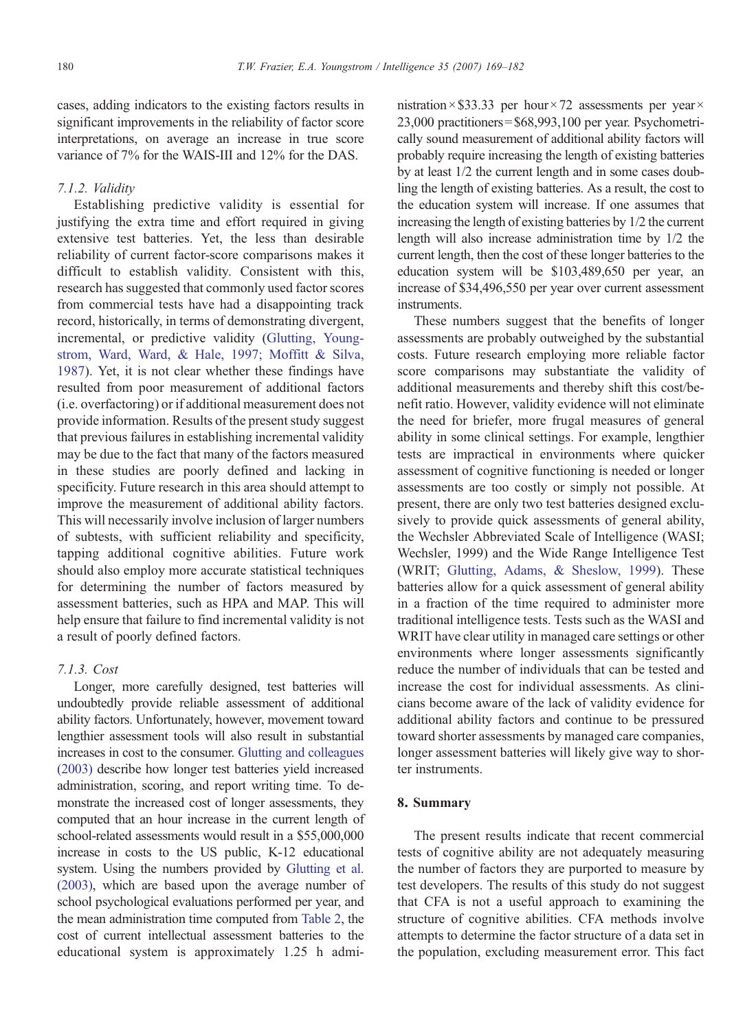cases, adding indicators to the existing factors results in significant improvements in the reliability of factor score interpretations, on average an increase in true score variance of 7% for the WAIS-III and 12% for the DAS.

## 7.1.2. Validity

Establishing predictive validity is essential for justifying the extra time and effort required in giving extensive test batteries. Yet, the less than desirable reliability of current factor-score comparisons makes it difficult to establish validity. Consistent with this, research has suggested that commonly used factor scores from commercial tests have had a disappointing track record, historically, in terms of demonstrating divergent, incremental, or predictive validity [\(Glutting, Young](#page-12-0)[strom, Ward, Ward, & Hale, 1997; Moffitt & Silva,](#page-12-0) [1987](#page-12-0)). Yet, it is not clear whether these findings have resulted from poor measurement of additional factors (i.e. overfactoring) or if additional measurement does not provide information. Results of the present study suggest that previous failures in establishing incremental validity may be due to the fact that many of the factors measured in these studies are poorly defined and lacking in specificity. Future research in this area should attempt to improve the measurement of additional ability factors. This will necessarily involve inclusion of larger numbers of subtests, with sufficient reliability and specificity, tapping additional cognitive abilities. Future work should also employ more accurate statistical techniques for determining the number of factors measured by assessment batteries, such as HPA and MAP. This will help ensure that failure to find incremental validity is not a result of poorly defined factors.

## 7.1.3. Cost

Longer, more carefully designed, test batteries will undoubtedly provide reliable assessment of additional ability factors. Unfortunately, however, movement toward lengthier assessment tools will also result in substantial increases in cost to the consumer. [Glutting and colleagues](#page-12-0) [\(2003\)](#page-12-0) describe how longer test batteries yield increased administration, scoring, and report writing time. To demonstrate the increased cost of longer assessments, they computed that an hour increase in the current length of school-related assessments would result in a \$55,000,000 increase in costs to the US public, K-12 educational system. Using the numbers provided by [Glutting et al.](#page-12-0) [\(2003\),](#page-12-0) which are based upon the average number of school psychological evaluations performed per year, and the mean administration time computed from [Table 2,](#page-9-0) the cost of current intellectual assessment batteries to the educational system is approximately 1.25 h administration×\$33.33 per hour×72 assessments per year× 23,000 practitioners= \$68,993,100 per year. Psychometrically sound measurement of additional ability factors will probably require increasing the length of existing batteries by at least 1/2 the current length and in some cases doubling the length of existing batteries. As a result, the cost to the education system will increase. If one assumes that increasing the length of existing batteries by 1/2 the current length will also increase administration time by 1/2 the current length, then the cost of these longer batteries to the education system will be \$103,489,650 per year, an increase of \$34,496,550 per year over current assessment instruments.

These numbers suggest that the benefits of longer assessments are probably outweighed by the substantial costs. Future research employing more reliable factor score comparisons may substantiate the validity of additional measurements and thereby shift this cost/benefit ratio. However, validity evidence will not eliminate the need for briefer, more frugal measures of general ability in some clinical settings. For example, lengthier tests are impractical in environments where quicker assessment of cognitive functioning is needed or longer assessments are too costly or simply not possible. At present, there are only two test batteries designed exclusively to provide quick assessments of general ability, the Wechsler Abbreviated Scale of Intelligence (WASI; Wechsler, 1999) and the Wide Range Intelligence Test (WRIT; [Glutting, Adams, & Sheslow, 1999\)](#page-12-0). These batteries allow for a quick assessment of general ability in a fraction of the time required to administer more traditional intelligence tests. Tests such as the WASI and WRIT have clear utility in managed care settings or other environments where longer assessments significantly reduce the number of individuals that can be tested and increase the cost for individual assessments. As clinicians become aware of the lack of validity evidence for additional ability factors and continue to be pressured toward shorter assessments by managed care companies, longer assessment batteries will likely give way to shorter instruments.

## 8. Summary

The present results indicate that recent commercial tests of cognitive ability are not adequately measuring the number of factors they are purported to measure by test developers. The results of this study do not suggest that CFA is not a useful approach to examining the structure of cognitive abilities. CFA methods involve attempts to determine the factor structure of a data set in the population, excluding measurement error. This fact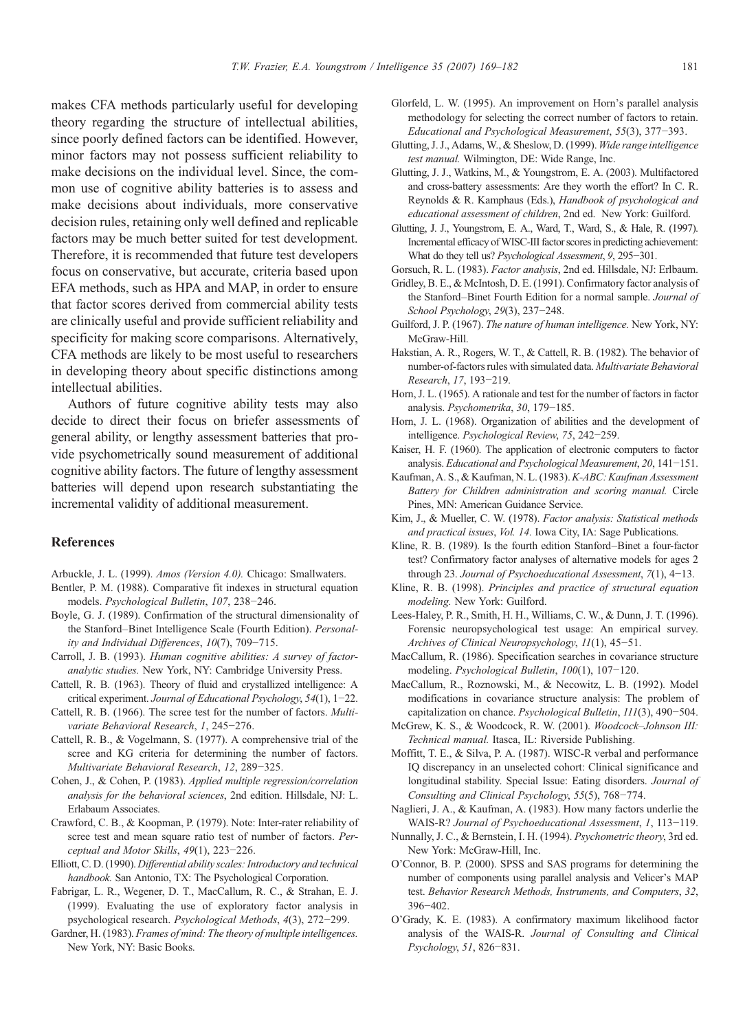<span id="page-12-0"></span>makes CFA methods particularly useful for developing theory regarding the structure of intellectual abilities, since poorly defined factors can be identified. However, minor factors may not possess sufficient reliability to make decisions on the individual level. Since, the common use of cognitive ability batteries is to assess and make decisions about individuals, more conservative decision rules, retaining only well defined and replicable factors may be much better suited for test development. Therefore, it is recommended that future test developers focus on conservative, but accurate, criteria based upon EFA methods, such as HPA and MAP, in order to ensure that factor scores derived from commercial ability tests are clinically useful and provide sufficient reliability and specificity for making score comparisons. Alternatively, CFA methods are likely to be most useful to researchers in developing theory about specific distinctions among intellectual abilities.

Authors of future cognitive ability tests may also decide to direct their focus on briefer assessments of general ability, or lengthy assessment batteries that provide psychometrically sound measurement of additional cognitive ability factors. The future of lengthy assessment batteries will depend upon research substantiating the incremental validity of additional measurement.

# References

- Arbuckle, J. L. (1999). Amos (Version 4.0). Chicago: Smallwaters. Bentler, P. M. (1988). Comparative fit indexes in structural equation models. Psychological Bulletin, 107, 238−246.
- Boyle, G. J. (1989). Confirmation of the structural dimensionality of the Stanford–Binet Intelligence Scale (Fourth Edition). Personality and Individual Differences, 10(7), 709−715.
- Carroll, J. B. (1993). Human cognitive abilities: A survey of factoranalytic studies. New York, NY: Cambridge University Press.
- Cattell, R. B. (1963). Theory of fluid and crystallized intelligence: A critical experiment. Journal of Educational Psychology, 54(1), 1−22.
- Cattell, R. B. (1966). The scree test for the number of factors. Multivariate Behavioral Research, 1, 245−276.
- Cattell, R. B., & Vogelmann, S. (1977). A comprehensive trial of the scree and KG criteria for determining the number of factors. Multivariate Behavioral Research, 12, 289−325.
- Cohen, J., & Cohen, P. (1983). Applied multiple regression/correlation analysis for the behavioral sciences, 2nd edition. Hillsdale, NJ: L. Erlabaum Associates.
- Crawford, C. B., & Koopman, P. (1979). Note: Inter-rater reliability of scree test and mean square ratio test of number of factors. Perceptual and Motor Skills, 49(1), 223−226.
- Elliott, C. D. (1990).Differential ability scales: Introductory and technical handbook. San Antonio, TX: The Psychological Corporation.
- Fabrigar, L. R., Wegener, D. T., MacCallum, R. C., & Strahan, E. J. (1999). Evaluating the use of exploratory factor analysis in psychological research. Psychological Methods, 4(3), 272−299.
- Gardner, H. (1983). Frames of mind: The theory of multiple intelligences. New York, NY: Basic Books.
- Glorfeld, L. W. (1995). An improvement on Horn's parallel analysis methodology for selecting the correct number of factors to retain. Educational and Psychological Measurement, 55(3), 377−393.
- Glutting, J. J., Adams, W., & Sheslow, D. (1999). Wide range intelligence test manual. Wilmington, DE: Wide Range, Inc.
- Glutting, J. J., Watkins, M., & Youngstrom, E. A. (2003). Multifactored and cross-battery assessments: Are they worth the effort? In C. R. Reynolds & R. Kamphaus (Eds.), Handbook of psychological and educational assessment of children, 2nd ed. New York: Guilford.
- Glutting, J. J., Youngstrom, E. A., Ward, T., Ward, S., & Hale, R. (1997). Incremental efficacy ofWISC-III factor scores in predicting achievement: What do they tell us? Psychological Assessment, 9, 295−301.

Gorsuch, R. L. (1983). Factor analysis, 2nd ed. Hillsdale, NJ: Erlbaum.

- Gridley, B. E., & McIntosh, D. E. (1991). Confirmatory factor analysis of the Stanford–Binet Fourth Edition for a normal sample. Journal of School Psychology, 29(3), 237−248.
- Guilford, J. P. (1967). The nature of human intelligence. New York, NY: McGraw-Hill.
- Hakstian, A. R., Rogers, W. T., & Cattell, R. B. (1982). The behavior of number-of-factors rules with simulated data. Multivariate Behavioral Research, 17, 193−219.
- Horn, J. L. (1965). A rationale and test for the number of factors in factor analysis. Psychometrika, 30, 179−185.
- Horn, J. L. (1968). Organization of abilities and the development of intelligence. Psychological Review, 75, 242−259.
- Kaiser, H. F. (1960). The application of electronic computers to factor analysis. Educational and Psychological Measurement, 20, 141−151.
- Kaufman, A. S., & Kaufman, N. L. (1983). K-ABC: Kaufman Assessment Battery for Children administration and scoring manual. Circle Pines, MN: American Guidance Service.
- Kim, J., & Mueller, C. W. (1978). Factor analysis: Statistical methods and practical issues, Vol. 14. Iowa City, IA: Sage Publications.
- Kline, R. B. (1989). Is the fourth edition Stanford–Binet a four-factor test? Confirmatory factor analyses of alternative models for ages 2 through 23. Journal of Psychoeducational Assessment, 7(1), 4−13.
- Kline, R. B. (1998). Principles and practice of structural equation modeling. New York: Guilford.
- Lees-Haley, P. R., Smith, H. H., Williams, C. W., & Dunn, J. T. (1996). Forensic neuropsychological test usage: An empirical survey. Archives of Clinical Neuropsychology, 11(1), 45−51.
- MacCallum, R. (1986). Specification searches in covariance structure modeling. Psychological Bulletin, 100(1), 107−120.
- MacCallum, R., Roznowski, M., & Necowitz, L. B. (1992). Model modifications in covariance structure analysis: The problem of capitalization on chance. Psychological Bulletin, 111(3), 490−504.
- McGrew, K. S., & Woodcock, R. W. (2001). Woodcock–Johnson III: Technical manual. Itasca, IL: Riverside Publishing.
- Moffitt, T. E., & Silva, P. A. (1987). WISC-R verbal and performance IQ discrepancy in an unselected cohort: Clinical significance and longitudinal stability. Special Issue: Eating disorders. Journal of Consulting and Clinical Psychology, 55(5), 768−774.
- Naglieri, J. A., & Kaufman, A. (1983). How many factors underlie the WAIS-R? Journal of Psychoeducational Assessment, 1, 113−119.
- Nunnally, J. C., & Bernstein, I. H. (1994). Psychometric theory, 3rd ed. New York: McGraw-Hill, Inc.
- O'Connor, B. P. (2000). SPSS and SAS programs for determining the number of components using parallel analysis and Velicer's MAP test. Behavior Research Methods, Instruments, and Computers, 32, 396−402.
- O'Grady, K. E. (1983). A confirmatory maximum likelihood factor analysis of the WAIS-R. Journal of Consulting and Clinical Psychology, 51, 826−831.